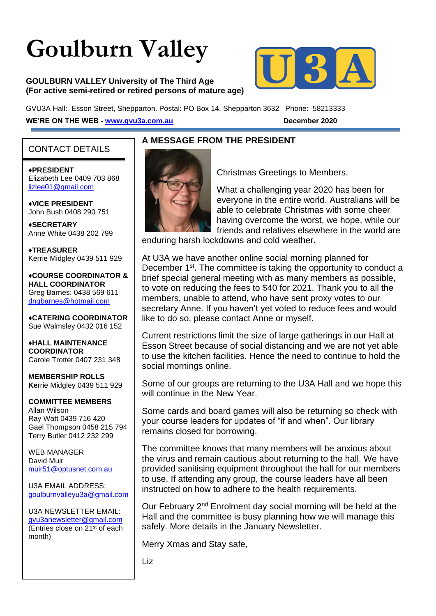# **Goulburn Valley**

#### **GOULBURN VALLEY University of The Third Age (For active semi-retired or retired persons of mature age)**



GVU3A Hall: Esson Street, Shepparton. Postal: PO Box 14, Shepparton 3632 Phone: 58213333

**WE'RE ON THE WEB - [www.gvu3a.com.au](about:blank) December 2020**

# CONTACT DETAILS

♦**PRESIDENT** Elizabeth Lee 0409 703 868 [lizlee01@gmail.com](about:blank)

♦**VICE PRESIDENT** John Bush 0408 290 751

**♦SECRETARY** Anne White 0438 202 799

**♦TREASURER** Kerrie Midgley 0439 511 929

♦**COURSE COORDINATOR & HALL COORDINATOR** Greg Barnes: 0438 569 611 [dngbarnes@hotmail.com](about:blank)

♦**CATERING COORDINATOR** Sue Walmsley 0432 016 152

♦**HALL MAINTENANCE COORDINATOR** Carole Trotter 0407 231 348

**MEMBERSHIP ROLLS Ke**rrie Midgley 0439 511 929

#### **COMMITTEE MEMBERS**

Allan Wilson Ray Watt 0439 716 420 Gael Thompson 0458 215 794 Terry Butler 0412 232 299

WEB MANAGER David Muir [muir51@optusnet.com.au](about:blank)

U3A EMAIL ADDRESS: [goulburnvalleyu3a@gmail.com](about:blank)

U3A NEWSLETTER EMAIL: [gvu3anewsletter@gmail.com](about:blank) (Entries close on 21st of each month)

### **A MESSAGE FROM THE PRESIDENT**



Christmas Greetings to Members.

What a challenging year 2020 has been for everyone in the entire world. Australians will be able to celebrate Christmas with some cheer having overcome the worst, we hope, while our friends and relatives elsewhere in the world are

enduring harsh lockdowns and cold weather.

At U3A we have another online social morning planned for December 1<sup>st</sup>. The committee is taking the opportunity to conduct a brief special general meeting with as many members as possible, to vote on reducing the fees to \$40 for 2021. Thank you to all the members, unable to attend, who have sent proxy votes to our secretary Anne. If you haven't yet voted to reduce fees and would like to do so, please contact Anne or myself.

Current restrictions limit the size of large gatherings in our Hall at Esson Street because of social distancing and we are not yet able to use the kitchen facilities. Hence the need to continue to hold the social mornings online.

Some of our groups are returning to the U3A Hall and we hope this will continue in the New Year.

Some cards and board games will also be returning so check with your course leaders for updates of "if and when". Our library remains closed for borrowing.

The committee knows that many members will be anxious about the virus and remain cautious about returning to the hall. We have provided sanitising equipment throughout the hall for our members to use. If attending any group, the course leaders have all been instructed on how to adhere to the health requirements.

Our February 2<sup>nd</sup> Enrolment day social morning will be held at the Hall and the committee is busy planning how we will manage this safely. More details in the January Newsletter.

Merry Xmas and Stay safe,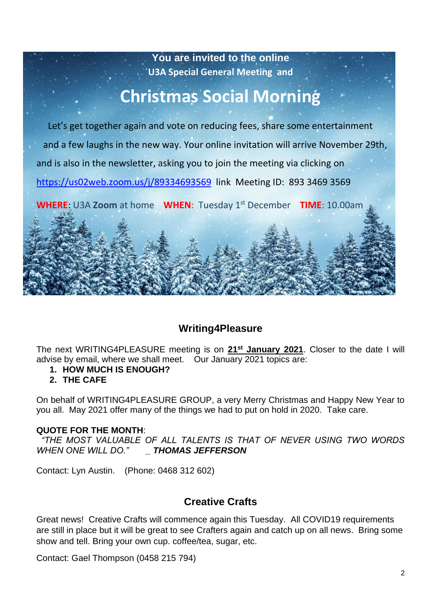# **You are invited to the online U3A Special General Meeting and**

# **Christmas Social Morning**

 Let's get together again and vote on reducing fees, share some entertainment and a few laughs in the new way. Your online invitation will arrive November 29th, and is also in the newsletter, asking you to join the meeting via clicking on <https://us02web.zoom.us/j/89334693569>link Meeting ID: 893 3469 3569

**WHERE**: U3A **Zoom** at home **WHEN**: Tuesday 1st December **TIME**: 10.00am

# **Writing4Pleasure**

The next WRITING4PLEASURE meeting is on **21st January 2021**. Closer to the date I will advise by email, where we shall meet. Our January 2021 topics are:

#### **1. HOW MUCH IS ENOUGH?**

#### **2. THE CAFE**

On behalf of WRITING4PLEASURE GROUP, a very Merry Christmas and Happy New Year to you all. May 2021 offer many of the things we had to put on hold in 2020. Take care.

#### **QUOTE FOR THE MONTH**:

 *"THE MOST VALUABLE OF ALL TALENTS IS THAT OF NEVER USING TWO WORDS WHEN ONE WILL DO." \_ THOMAS JEFFERSON*

Contact: Lyn Austin. (Phone: 0468 312 602)

# **Creative Crafts**

Great news! Creative Crafts will commence again this Tuesday. All COVID19 requirements are still in place but it will be great to see Crafters again and catch up on all news. Bring some show and tell. Bring your own cup. coffee/tea, sugar, etc.

Contact: Gael Thompson (0458 215 794)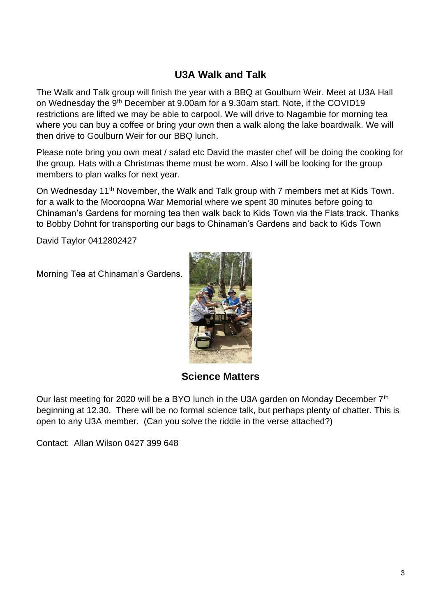# **U3A Walk and Talk**

The Walk and Talk group will finish the year with a BBQ at Goulburn Weir. Meet at U3A Hall on Wednesday the 9<sup>th</sup> December at 9.00am for a 9.30am start. Note, if the COVID19 restrictions are lifted we may be able to carpool. We will drive to Nagambie for morning tea where you can buy a coffee or bring your own then a walk along the lake boardwalk. We will then drive to Goulburn Weir for our BBQ lunch.

Please note bring you own meat / salad etc David the master chef will be doing the cooking for the group. Hats with a Christmas theme must be worn. Also I will be looking for the group members to plan walks for next year.

On Wednesday 11<sup>th</sup> November, the Walk and Talk group with 7 members met at Kids Town. for a walk to the Mooroopna War Memorial where we spent 30 minutes before going to Chinaman's Gardens for morning tea then walk back to Kids Town via the Flats track. Thanks to Bobby Dohnt for transporting our bags to Chinaman's Gardens and back to Kids Town

David Taylor 0412802427

Morning Tea at Chinaman's Gardens.



**Science Matters**

Our last meeting for 2020 will be a BYO lunch in the U3A garden on Monday December 7<sup>th</sup> beginning at 12.30. There will be no formal science talk, but perhaps plenty of chatter. This is open to any U3A member. (Can you solve the riddle in the verse attached?)

Contact: Allan Wilson 0427 399 648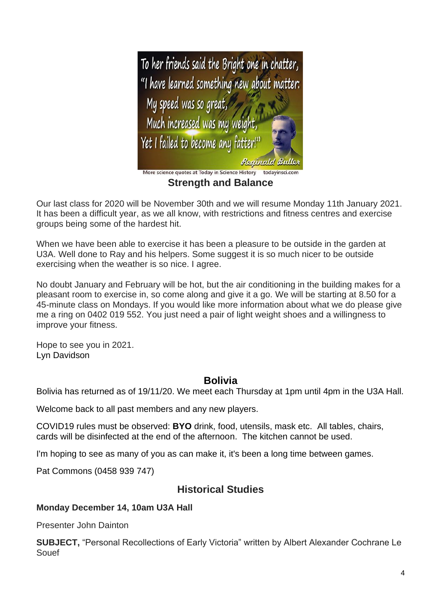

**Strength and Balance**

Our last class for 2020 will be November 30th and we will resume Monday 11th January 2021. It has been a difficult year, as we all know, with restrictions and fitness centres and exercise groups being some of the hardest hit.

When we have been able to exercise it has been a pleasure to be outside in the garden at U3A. Well done to Ray and his helpers. Some suggest it is so much nicer to be outside exercising when the weather is so nice. I agree.

No doubt January and February will be hot, but the air conditioning in the building makes for a pleasant room to exercise in, so come along and give it a go. We will be starting at 8.50 for a 45-minute class on Mondays. If you would like more information about what we do please give me a ring on 0402 019 552. You just need a pair of light weight shoes and a willingness to improve your fitness.

Hope to see you in 2021. Lyn Davidson

# **Bolivia**

Bolivia has returned as of 19/11/20. We meet each Thursday at [1pm](http://1.pm/) until [4pm](http://4.pm/) in the U3A Hall.

Welcome back to all past members and any new players.

COVID19 rules must be observed: **BYO** drink, food, utensils, mask etc. All tables, chairs, cards will be disinfected at the end of the afternoon. The kitchen cannot be used.

I'm hoping to see as many of you as can make it, it's been a long time between games.

Pat Commons (0458 939 747)

# **Historical Studies**

#### **Monday December 14, 10am U3A Hall**

Presenter John Dainton

**SUBJECT,** "Personal Recollections of Early Victoria" written by Albert Alexander Cochrane Le Souef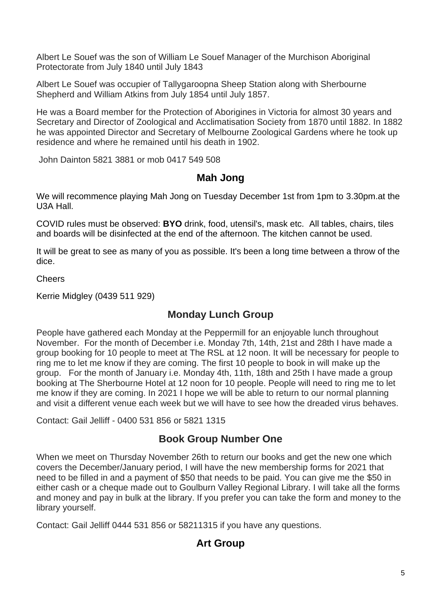Albert Le Souef was the son of William Le Souef Manager of the Murchison Aboriginal Protectorate from July 1840 until July 1843

Albert Le Souef was occupier of Tallygaroopna Sheep Station along with Sherbourne Shepherd and William Atkins from July 1854 until July 1857.

He was a Board member for the Protection of Aborigines in Victoria for almost 30 years and Secretary and Director of Zoological and Acclimatisation Society from 1870 until 1882. In 1882 he was appointed Director and Secretary of Melbourne Zoological Gardens where he took up residence and where he remained until his death in 1902.

John Dainton 5821 3881 or mob 0417 549 508

# **Mah Jong**

We will recommence playing Mah Jong on Tuesday December 1st from 1pm to [3.30pm.at](http://3.30pm.at/) the U3A Hall.

COVID rules must be observed: **BYO** drink, food, utensil's, mask etc. All tables, chairs, tiles and boards will be disinfected at the end of the afternoon. The kitchen cannot be used.

It will be great to see as many of you as possible. It's been a long time between a throw of the dice.

Cheers

Kerrie Midgley (0439 511 929)

# **Monday Lunch Group**

People have gathered each Monday at the Peppermill for an enjoyable lunch throughout November. For the month of December i.e. Monday 7th, 14th, 21st and 28th I have made a group booking for 10 people to meet at The RSL at 12 noon. It will be necessary for people to ring me to let me know if they are coming. The first 10 people to book in will make up the group. For the month of January i.e. Monday 4th, 11th, 18th and 25th I have made a group booking at The Sherbourne Hotel at 12 noon for 10 people. People will need to ring me to let me know if they are coming. In 2021 I hope we will be able to return to our normal planning and visit a different venue each week but we will have to see how the dreaded virus behaves.

Contact: Gail Jelliff - 0400 531 856 or 5821 1315

# **Book Group Number One**

When we meet on Thursday November 26th to return our books and get the new one which covers the December/January period, I will have the new membership forms for 2021 that need to be filled in and a payment of \$50 that needs to be paid. You can give me the \$50 in either cash or a cheque made out to Goulburn Valley Regional Library. I will take all the forms and money and pay in bulk at the library. If you prefer you can take the form and money to the library yourself.

Contact: Gail Jelliff 0444 531 856 or 58211315 if you have any questions.

# **Art Group**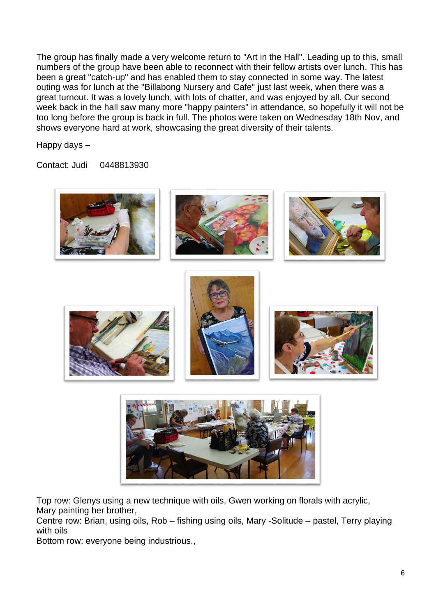The group has finally made a very welcome return to "Art in the Hall". Leading up to this, small numbers of the group have been able to reconnect with their fellow artists over lunch. This has been a great "catch-up" and has enabled them to stay connected in some way. The latest outing was for lunch at the "Billabong Nursery and Cafe" just last week, when there was a great turnout. It was a lovely lunch, with lots of chatter, and was enjoyed by all. Our second week back in the hall saw many more "happy painters" in attendance, so hopefully it will not be too long before the group is back in full. The photos were taken on Wednesday 18th Nov, and shows everyone hard at work, showcasing the great diversity of their talents.

Happy days –

Contact: Judi 0448813930



Top row: Glenys using a new technique with oils, Gwen working on florals with acrylic, Mary painting her brother,

Centre row: Brian, using oils, Rob – fishing using oils, Mary -Solitude – pastel, Terry playing with oils

Bottom row: everyone being industrious.,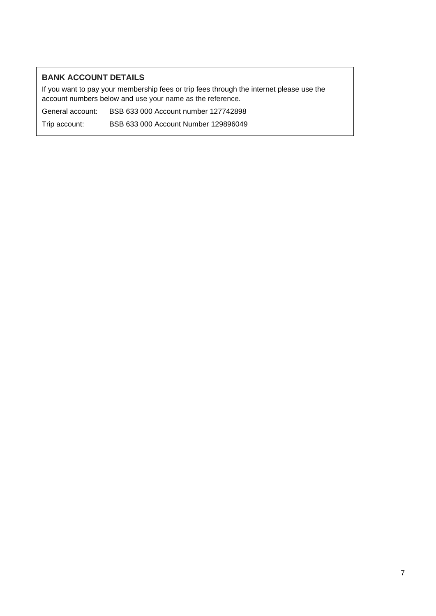#### **BANK ACCOUNT DETAILS**

If you want to pay your membership fees or trip fees through the internet please use the account numbers below and use your name as the reference.

General account: BSB 633 000 Account number 127742898

Trip account: BSB 633 000 Account Number 129896049